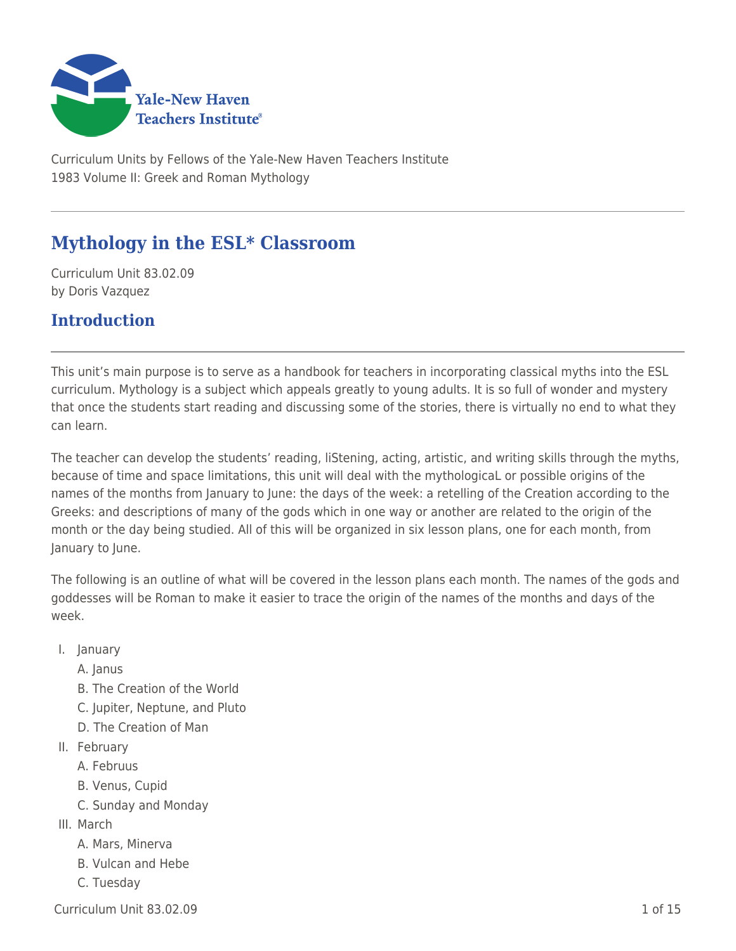

Curriculum Units by Fellows of the Yale-New Haven Teachers Institute 1983 Volume II: Greek and Roman Mythology

# **Mythology in the ESL\* Classroom**

Curriculum Unit 83.02.09 by Doris Vazquez

### **Introduction**

This unit's main purpose is to serve as a handbook for teachers in incorporating classical myths into the ESL curriculum. Mythology is a subject which appeals greatly to young adults. It is so full of wonder and mystery that once the students start reading and discussing some of the stories, there is virtually no end to what they can learn.

The teacher can develop the students' reading, liStening, acting, artistic, and writing skills through the myths, because of time and space limitations, this unit will deal with the mythologicaL or possible origins of the names of the months from January to June: the days of the week: a retelling of the Creation according to the Greeks: and descriptions of many of the gods which in one way or another are related to the origin of the month or the day being studied. All of this will be organized in six lesson plans, one for each month, from January to June.

The following is an outline of what will be covered in the lesson plans each month. The names of the gods and goddesses will be Roman to make it easier to trace the origin of the names of the months and days of the week.

I. January

A. Janus

- B. The Creation of the World
- C. Jupiter, Neptune, and Pluto
- D. The Creation of Man
- II. February
	- A. Februus
	- B. Venus, Cupid
	- C. Sunday and Monday
- III. March
	- A. Mars, Minerva
	- B. Vulcan and Hebe
	- C. Tuesday

 $Curriculum$  Unit  $83.02.09$   $1.5$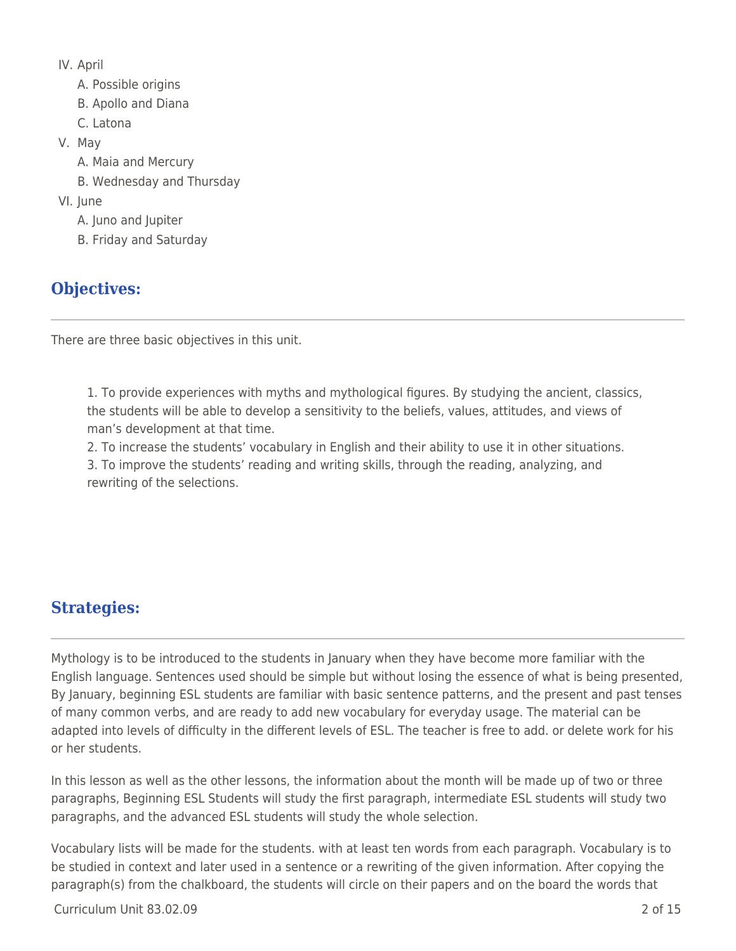- IV. April
	- A. Possible origins
	- B. Apollo and Diana
	- C. Latona
- V. May
	- A. Maia and Mercury
	- B. Wednesday and Thursday
- VI. June
	- A. Juno and Jupiter
	- B. Friday and Saturday

# **Objectives:**

There are three basic objectives in this unit.

1. To provide experiences with myths and mythological figures. By studying the ancient, classics, the students will be able to develop a sensitivity to the beliefs, values, attitudes, and views of man's development at that time.

2. To increase the students' vocabulary in English and their ability to use it in other situations.

3. To improve the students' reading and writing skills, through the reading, analyzing, and rewriting of the selections.

# **Strategies:**

Mythology is to be introduced to the students in January when they have become more familiar with the English language. Sentences used should be simple but without losing the essence of what is being presented, By January, beginning ESL students are familiar with basic sentence patterns, and the present and past tenses of many common verbs, and are ready to add new vocabulary for everyday usage. The material can be adapted into levels of difficulty in the different levels of ESL. The teacher is free to add. or delete work for his or her students.

In this lesson as well as the other lessons, the information about the month will be made up of two or three paragraphs, Beginning ESL Students will study the first paragraph, intermediate ESL students will study two paragraphs, and the advanced ESL students will study the whole selection.

Vocabulary lists will be made for the students. with at least ten words from each paragraph. Vocabulary is to be studied in context and later used in a sentence or a rewriting of the given information. After copying the paragraph(s) from the chalkboard, the students will circle on their papers and on the board the words that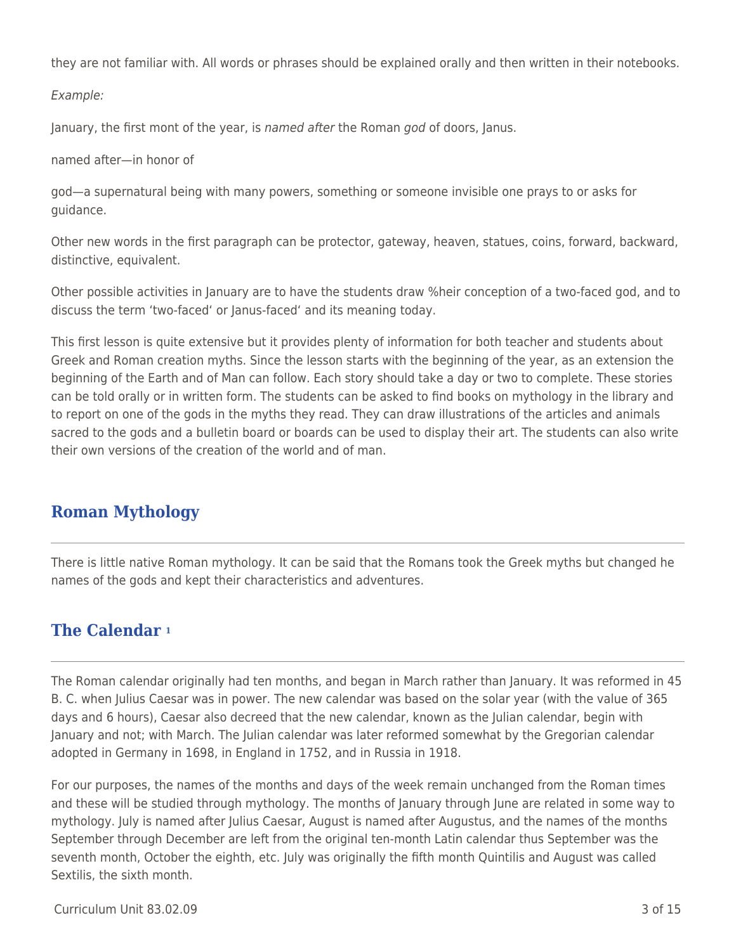they are not familiar with. All words or phrases should be explained orally and then written in their notebooks.

Example:

January, the first mont of the year, is named after the Roman god of doors, Janus.

named after—in honor of

god—a supernatural being with many powers, something or someone invisible one prays to or asks for guidance.

Other new words in the first paragraph can be protector, gateway, heaven, statues, coins, forward, backward, distinctive, equivalent.

Other possible activities in January are to have the students draw %heir conception of a two-faced god, and to discuss the term 'two-faced' or Janus-faced' and its meaning today.

This first lesson is quite extensive but it provides plenty of information for both teacher and students about Greek and Roman creation myths. Since the lesson starts with the beginning of the year, as an extension the beginning of the Earth and of Man can follow. Each story should take a day or two to complete. These stories can be told orally or in written form. The students can be asked to find books on mythology in the library and to report on one of the gods in the myths they read. They can draw illustrations of the articles and animals sacred to the gods and a bulletin board or boards can be used to display their art. The students can also write their own versions of the creation of the world and of man.

### **Roman Mythology**

There is little native Roman mythology. It can be said that the Romans took the Greek myths but changed he names of the gods and kept their characteristics and adventures.

## **The Calendar <sup>1</sup>**

The Roman calendar originally had ten months, and began in March rather than January. It was reformed in 45 B. C. when Julius Caesar was in power. The new calendar was based on the solar year (with the value of 365 days and 6 hours), Caesar also decreed that the new calendar, known as the Julian calendar, begin with January and not; with March. The Julian calendar was later reformed somewhat by the Gregorian calendar adopted in Germany in 1698, in England in 1752, and in Russia in 1918.

For our purposes, the names of the months and days of the week remain unchanged from the Roman times and these will be studied through mythology. The months of January through June are related in some way to mythology. July is named after Julius Caesar, August is named after Augustus, and the names of the months September through December are left from the original ten-month Latin calendar thus September was the seventh month, October the eighth, etc. July was originally the fifth month Quintilis and August was called Sextilis, the sixth month.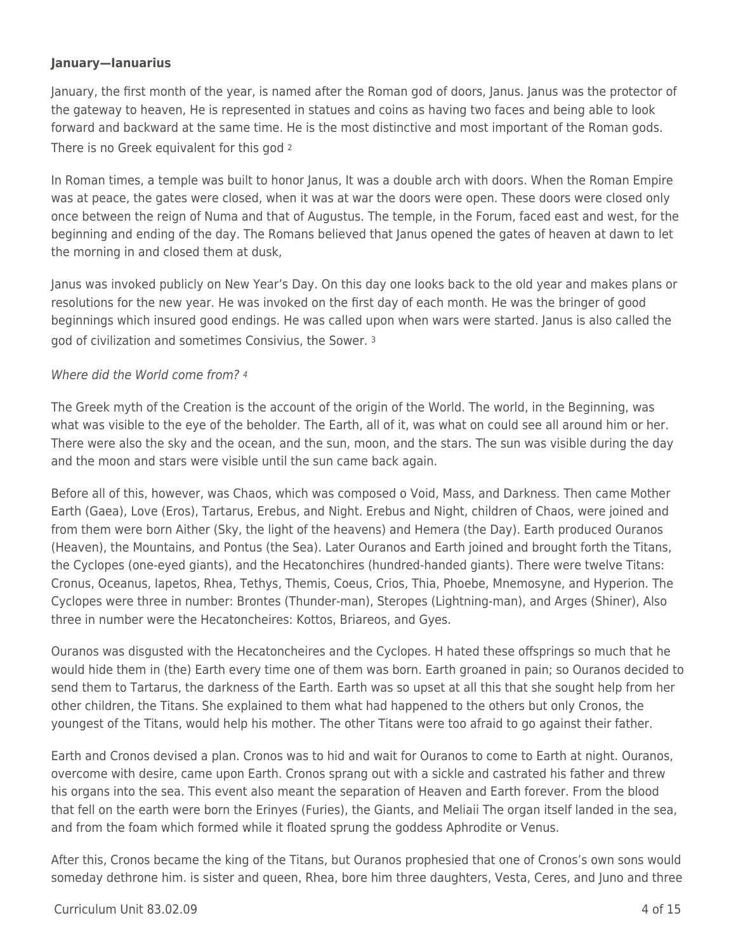#### **January—Ianuarius**

January, the first month of the year, is named after the Roman god of doors, Janus. Janus was the protector of the gateway to heaven, He is represented in statues and coins as having two faces and being able to look forward and backward at the same time. He is the most distinctive and most important of the Roman gods. There is no Greek equivalent for this god <sup>2</sup>

In Roman times, a temple was built to honor Janus, It was a double arch with doors. When the Roman Empire was at peace, the gates were closed, when it was at war the doors were open. These doors were closed only once between the reign of Numa and that of Augustus. The temple, in the Forum, faced east and west, for the beginning and ending of the day. The Romans believed that Janus opened the gates of heaven at dawn to let the morning in and closed them at dusk,

Janus was invoked publicly on New Year's Day. On this day one looks back to the old year and makes plans or resolutions for the new year. He was invoked on the first day of each month. He was the bringer of good beginnings which insured good endings. He was called upon when wars were started. Janus is also called the god of civilization and sometimes Consivius, the Sower. <sup>3</sup>

#### Where did the World come from? 4

The Greek myth of the Creation is the account of the origin of the World. The world, in the Beginning, was what was visible to the eye of the beholder. The Earth, all of it, was what on could see all around him or her. There were also the sky and the ocean, and the sun, moon, and the stars. The sun was visible during the day and the moon and stars were visible until the sun came back again.

Before all of this, however, was Chaos, which was composed o Void, Mass, and Darkness. Then came Mother Earth (Gaea), Love (Eros), Tartarus, Erebus, and Night. Erebus and Night, children of Chaos, were joined and from them were born Aither (Sky, the light of the heavens) and Hemera (the Day). Earth produced Ouranos (Heaven), the Mountains, and Pontus (the Sea). Later Ouranos and Earth joined and brought forth the Titans, the Cyclopes (one-eyed giants), and the Hecatonchires (hundred-handed giants). There were twelve Titans: Cronus, Oceanus, Iapetos, Rhea, Tethys, Themis, Coeus, Crios, Thia, Phoebe, Mnemosyne, and Hyperion. The Cyclopes were three in number: Brontes (Thunder-man), Steropes (Lightning-man), and Arges (Shiner), Also three in number were the Hecatoncheires: Kottos, Briareos, and Gyes.

Ouranos was disgusted with the Hecatoncheires and the Cyclopes. H hated these offsprings so much that he would hide them in (the) Earth every time one of them was born. Earth groaned in pain; so Ouranos decided to send them to Tartarus, the darkness of the Earth. Earth was so upset at all this that she sought help from her other children, the Titans. She explained to them what had happened to the others but only Cronos, the youngest of the Titans, would help his mother. The other Titans were too afraid to go against their father.

Earth and Cronos devised a plan. Cronos was to hid and wait for Ouranos to come to Earth at night. Ouranos, overcome with desire, came upon Earth. Cronos sprang out with a sickle and castrated his father and threw his organs into the sea. This event also meant the separation of Heaven and Earth forever. From the blood that fell on the earth were born the Erinyes (Furies), the Giants, and Meliaii The organ itself landed in the sea, and from the foam which formed while it floated sprung the goddess Aphrodite or Venus.

After this, Cronos became the king of the Titans, but Ouranos prophesied that one of Cronos's own sons would someday dethrone him. is sister and queen, Rhea, bore him three daughters, Vesta, Ceres, and Juno and three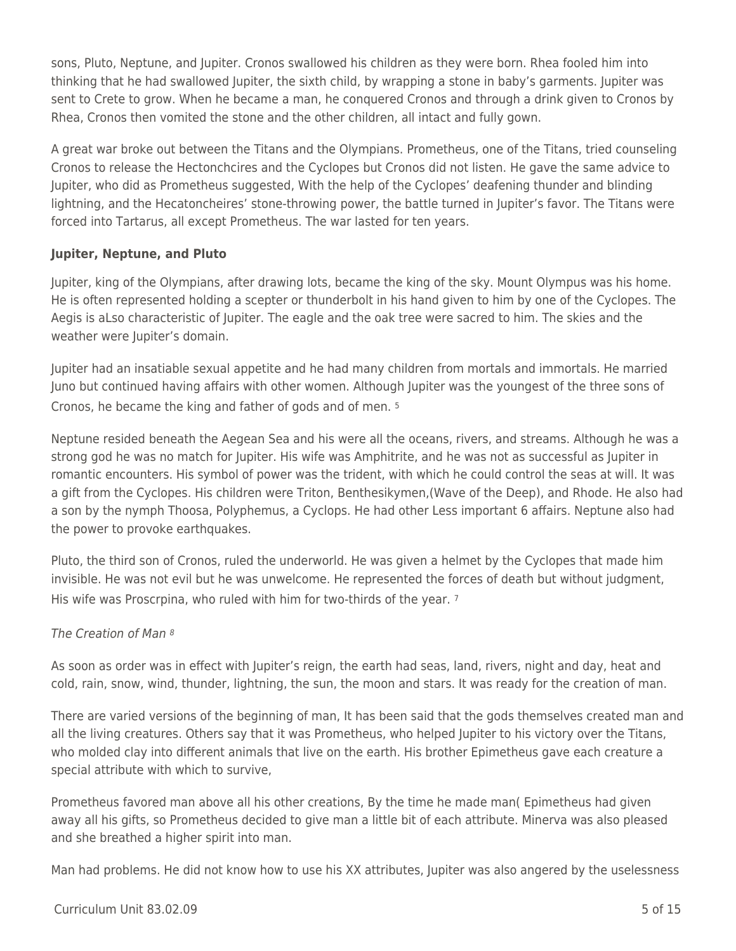sons, Pluto, Neptune, and Jupiter. Cronos swallowed his children as they were born. Rhea fooled him into thinking that he had swallowed Jupiter, the sixth child, by wrapping a stone in baby's garments. Jupiter was sent to Crete to grow. When he became a man, he conquered Cronos and through a drink given to Cronos by Rhea, Cronos then vomited the stone and the other children, all intact and fully gown.

A great war broke out between the Titans and the Olympians. Prometheus, one of the Titans, tried counseling Cronos to release the Hectonchcires and the Cyclopes but Cronos did not listen. He gave the same advice to Jupiter, who did as Prometheus suggested, With the help of the Cyclopes' deafening thunder and blinding lightning, and the Hecatoncheires' stone-throwing power, the battle turned in Jupiter's favor. The Titans were forced into Tartarus, all except Prometheus. The war lasted for ten years.

#### **Jupiter, Neptune, and Pluto**

Jupiter, king of the Olympians, after drawing lots, became the king of the sky. Mount Olympus was his home. He is often represented holding a scepter or thunderbolt in his hand given to him by one of the Cyclopes. The Aegis is aLso characteristic of Jupiter. The eagle and the oak tree were sacred to him. The skies and the weather were Jupiter's domain.

Jupiter had an insatiable sexual appetite and he had many children from mortals and immortals. He married Juno but continued having affairs with other women. Although Jupiter was the youngest of the three sons of Cronos, he became the king and father of gods and of men. <sup>5</sup>

Neptune resided beneath the Aegean Sea and his were all the oceans, rivers, and streams. Although he was a strong god he was no match for Jupiter. His wife was Amphitrite, and he was not as successful as Jupiter in romantic encounters. His symbol of power was the trident, with which he could control the seas at will. It was a gift from the Cyclopes. His children were Triton, Benthesikymen,(Wave of the Deep), and Rhode. He also had a son by the nymph Thoosa, Polyphemus, a Cyclops. He had other Less important 6 affairs. Neptune also had the power to provoke earthquakes.

Pluto, the third son of Cronos, ruled the underworld. He was given a helmet by the Cyclopes that made him invisible. He was not evil but he was unwelcome. He represented the forces of death but without judgment, His wife was Proscrpina, who ruled with him for two-thirds of the year. <sup>7</sup>

#### The Creation of Man <sup>8</sup>

As soon as order was in effect with Jupiter's reign, the earth had seas, land, rivers, night and day, heat and cold, rain, snow, wind, thunder, lightning, the sun, the moon and stars. It was ready for the creation of man.

There are varied versions of the beginning of man, It has been said that the gods themselves created man and all the living creatures. Others say that it was Prometheus, who helped Jupiter to his victory over the Titans, who molded clay into different animals that live on the earth. His brother Epimetheus gave each creature a special attribute with which to survive,

Prometheus favored man above all his other creations, By the time he made man( Epimetheus had given away all his gifts, so Prometheus decided to give man a little bit of each attribute. Minerva was also pleased and she breathed a higher spirit into man.

Man had problems. He did not know how to use his XX attributes, Jupiter was also angered by the uselessness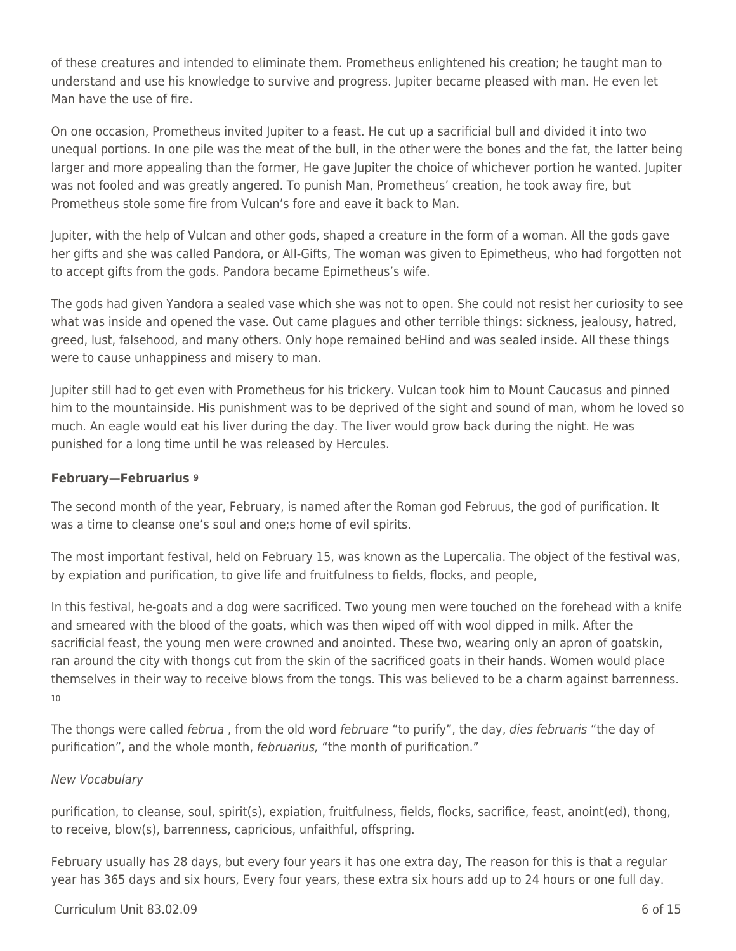of these creatures and intended to eliminate them. Prometheus enlightened his creation; he taught man to understand and use his knowledge to survive and progress. Jupiter became pleased with man. He even let Man have the use of fire.

On one occasion, Prometheus invited Jupiter to a feast. He cut up a sacrificial bull and divided it into two unequal portions. In one pile was the meat of the bull, in the other were the bones and the fat, the latter being larger and more appealing than the former, He gave Jupiter the choice of whichever portion he wanted. Jupiter was not fooled and was greatly angered. To punish Man, Prometheus' creation, he took away fire, but Prometheus stole some fire from Vulcan's fore and eave it back to Man.

Jupiter, with the help of Vulcan and other gods, shaped a creature in the form of a woman. All the gods gave her gifts and she was called Pandora, or All-Gifts, The woman was given to Epimetheus, who had forgotten not to accept gifts from the gods. Pandora became Epimetheus's wife.

The gods had given Yandora a sealed vase which she was not to open. She could not resist her curiosity to see what was inside and opened the vase. Out came plagues and other terrible things: sickness, jealousy, hatred, greed, lust, falsehood, and many others. Only hope remained beHind and was sealed inside. All these things were to cause unhappiness and misery to man.

Jupiter still had to get even with Prometheus for his trickery. Vulcan took him to Mount Caucasus and pinned him to the mountainside. His punishment was to be deprived of the sight and sound of man, whom he loved so much. An eagle would eat his liver during the day. The liver would grow back during the night. He was punished for a long time until he was released by Hercules.

#### **February—Februarius <sup>9</sup>**

The second month of the year, February, is named after the Roman god Februus, the god of purification. It was a time to cleanse one's soul and one;s home of evil spirits.

The most important festival, held on February 15, was known as the Lupercalia. The object of the festival was, by expiation and purification, to give life and fruitfulness to fields, flocks, and people,

In this festival, he-goats and a dog were sacrificed. Two young men were touched on the forehead with a knife and smeared with the blood of the goats, which was then wiped off with wool dipped in milk. After the sacrificial feast, the young men were crowned and anointed. These two, wearing only an apron of goatskin, ran around the city with thongs cut from the skin of the sacrificed goats in their hands. Women would place themselves in their way to receive blows from the tongs. This was believed to be a charm against barrenness. 10

The thongs were called *februa*, from the old word *februare* "to purify", the day, *dies februaris* "the day of purification", and the whole month, februarius, "the month of purification."

#### New Vocabulary

purification, to cleanse, soul, spirit(s), expiation, fruitfulness, fields, flocks, sacrifice, feast, anoint(ed), thong, to receive, blow(s), barrenness, capricious, unfaithful, offspring.

February usually has 28 days, but every four years it has one extra day, The reason for this is that a regular year has 365 days and six hours, Every four years, these extra six hours add up to 24 hours or one full day.

#### $Curir$ ium Unit 83.02.09 6 of 15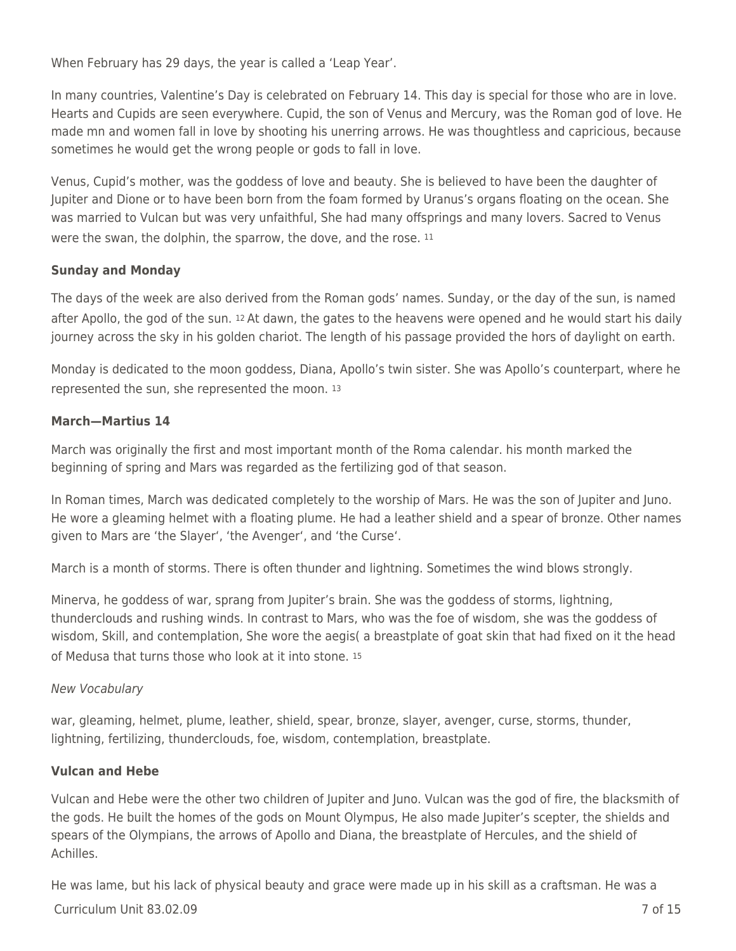When February has 29 days, the year is called a 'Leap Year'.

In many countries, Valentine's Day is celebrated on February 14. This day is special for those who are in love. Hearts and Cupids are seen everywhere. Cupid, the son of Venus and Mercury, was the Roman god of love. He made mn and women fall in love by shooting his unerring arrows. He was thoughtless and capricious, because sometimes he would get the wrong people or gods to fall in love.

Venus, Cupid's mother, was the goddess of love and beauty. She is believed to have been the daughter of Jupiter and Dione or to have been born from the foam formed by Uranus's organs floating on the ocean. She was married to Vulcan but was very unfaithful, She had many offsprings and many lovers. Sacred to Venus were the swan, the dolphin, the sparrow, the dove, and the rose. <sup>11</sup>

#### **Sunday and Monday**

The days of the week are also derived from the Roman gods' names. Sunday, or the day of the sun, is named after Apollo, the god of the sun. 12 At dawn, the gates to the heavens were opened and he would start his daily journey across the sky in his golden chariot. The length of his passage provided the hors of daylight on earth.

Monday is dedicated to the moon goddess, Diana, Apollo's twin sister. She was Apollo's counterpart, where he represented the sun, she represented the moon. <sup>13</sup>

#### **March—Martius 14**

March was originally the first and most important month of the Roma calendar. his month marked the beginning of spring and Mars was regarded as the fertilizing god of that season.

In Roman times, March was dedicated completely to the worship of Mars. He was the son of Jupiter and Juno. He wore a gleaming helmet with a floating plume. He had a leather shield and a spear of bronze. Other names given to Mars are 'the Slayer', 'the Avenger', and 'the Curse'.

March is a month of storms. There is often thunder and lightning. Sometimes the wind blows strongly.

Minerva, he goddess of war, sprang from Jupiter's brain. She was the goddess of storms, lightning, thunderclouds and rushing winds. In contrast to Mars, who was the foe of wisdom, she was the goddess of wisdom, Skill, and contemplation, She wore the aegis( a breastplate of goat skin that had fixed on it the head of Medusa that turns those who look at it into stone. <sup>15</sup>

#### New Vocabulary

war, gleaming, helmet, plume, leather, shield, spear, bronze, slayer, avenger, curse, storms, thunder, lightning, fertilizing, thunderclouds, foe, wisdom, contemplation, breastplate.

#### **Vulcan and Hebe**

Vulcan and Hebe were the other two children of Jupiter and Juno. Vulcan was the god of fire, the blacksmith of the gods. He built the homes of the gods on Mount Olympus, He also made Jupiter's scepter, the shields and spears of the Olympians, the arrows of Apollo and Diana, the breastplate of Hercules, and the shield of Achilles.

He was lame, but his lack of physical beauty and grace were made up in his skill as a craftsman. He was a

#### Curriculum Unit 83.02.09 7 of 15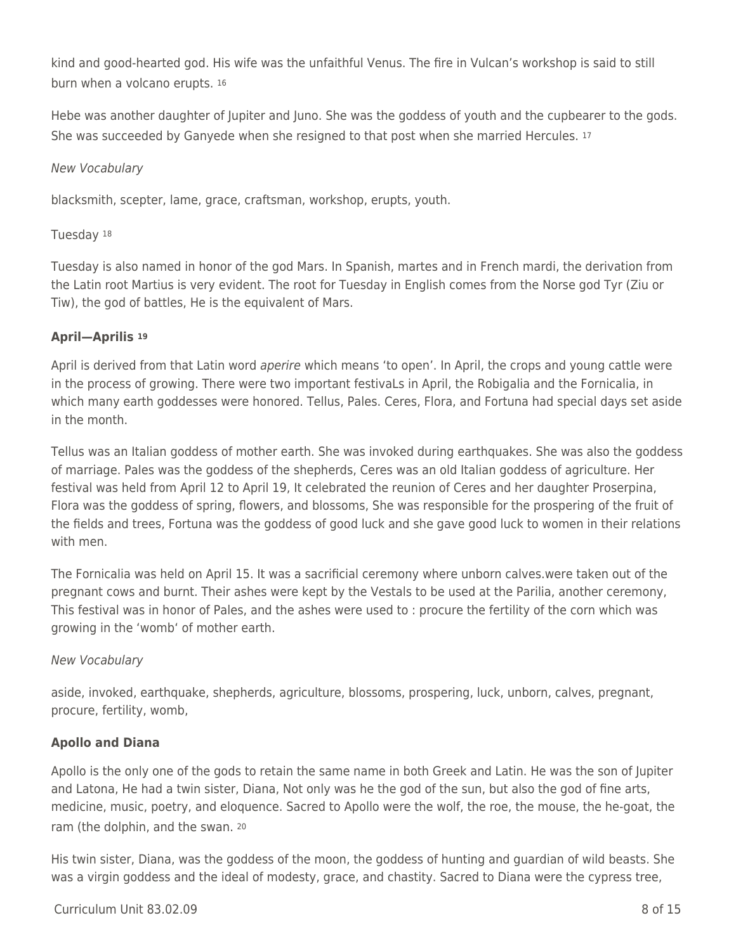kind and good-hearted god. His wife was the unfaithful Venus. The fire in Vulcan's workshop is said to still burn when a volcano erupts. <sup>16</sup>

Hebe was another daughter of Jupiter and Juno. She was the goddess of youth and the cupbearer to the gods. She was succeeded by Ganyede when she resigned to that post when she married Hercules. <sup>17</sup>

#### New Vocabulary

blacksmith, scepter, lame, grace, craftsman, workshop, erupts, youth.

#### Tuesday <sup>18</sup>

Tuesday is also named in honor of the god Mars. In Spanish, martes and in French mardi, the derivation from the Latin root Martius is very evident. The root for Tuesday in English comes from the Norse god Tyr (Ziu or Tiw), the god of battles, He is the equivalent of Mars.

#### **April—Aprilis <sup>19</sup>**

April is derived from that Latin word aperire which means 'to open'. In April, the crops and young cattle were in the process of growing. There were two important festivaLs in April, the Robigalia and the Fornicalia, in which many earth goddesses were honored. Tellus, Pales. Ceres, Flora, and Fortuna had special days set aside in the month.

Tellus was an Italian goddess of mother earth. She was invoked during earthquakes. She was also the goddess of marriage. Pales was the goddess of the shepherds, Ceres was an old Italian goddess of agriculture. Her festival was held from April 12 to April 19, It celebrated the reunion of Ceres and her daughter Proserpina, Flora was the goddess of spring, flowers, and blossoms, She was responsible for the prospering of the fruit of the fields and trees, Fortuna was the goddess of good luck and she gave good luck to women in their relations with men.

The Fornicalia was held on April 15. It was a sacrificial ceremony where unborn calves.were taken out of the pregnant cows and burnt. Their ashes were kept by the Vestals to be used at the Parilia, another ceremony, This festival was in honor of Pales, and the ashes were used to : procure the fertility of the corn which was growing in the 'womb' of mother earth.

#### New Vocabulary

aside, invoked, earthquake, shepherds, agriculture, blossoms, prospering, luck, unborn, calves, pregnant, procure, fertility, womb,

#### **Apollo and Diana**

Apollo is the only one of the gods to retain the same name in both Greek and Latin. He was the son of Jupiter and Latona, He had a twin sister, Diana, Not only was he the god of the sun, but also the god of fine arts, medicine, music, poetry, and eloquence. Sacred to Apollo were the wolf, the roe, the mouse, the he-goat, the ram (the dolphin, and the swan. <sup>20</sup>

His twin sister, Diana, was the goddess of the moon, the goddess of hunting and guardian of wild beasts. She was a virgin goddess and the ideal of modesty, grace, and chastity. Sacred to Diana were the cypress tree,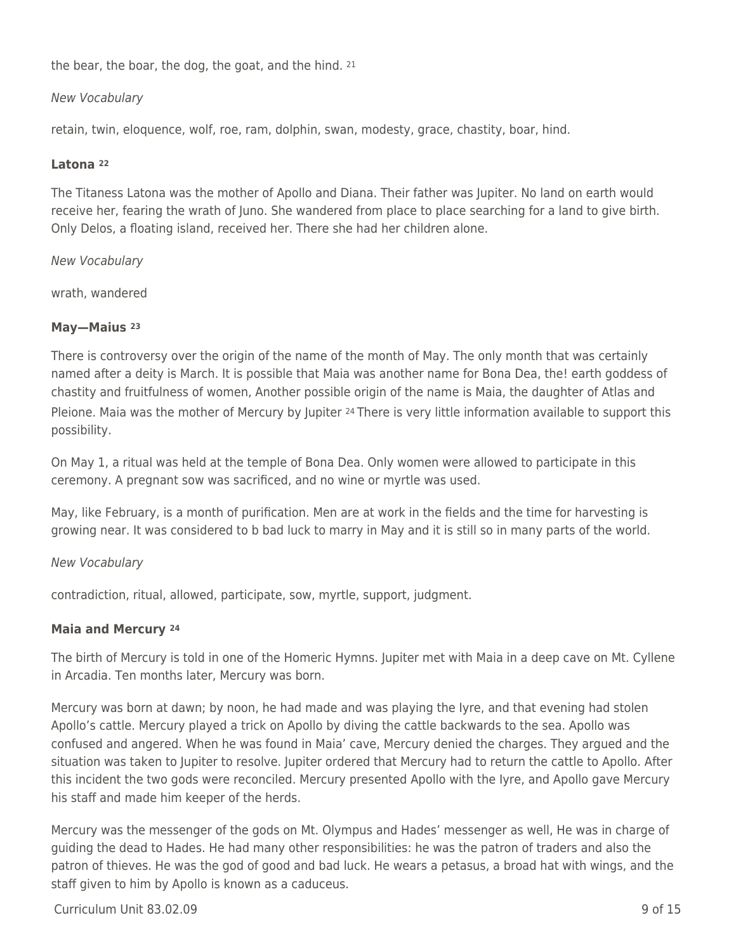the bear, the boar, the dog, the goat, and the hind. <sup>21</sup>

#### New Vocabulary

retain, twin, eloquence, wolf, roe, ram, dolphin, swan, modesty, grace, chastity, boar, hind.

#### **Latona <sup>22</sup>**

The Titaness Latona was the mother of Apollo and Diana. Their father was Jupiter. No land on earth would receive her, fearing the wrath of Juno. She wandered from place to place searching for a land to give birth. Only Delos, a floating island, received her. There she had her children alone.

New Vocabulary

wrath, wandered

#### **May—Maius <sup>23</sup>**

There is controversy over the origin of the name of the month of May. The only month that was certainly named after a deity is March. It is possible that Maia was another name for Bona Dea, the! earth goddess of chastity and fruitfulness of women, Another possible origin of the name is Maia, the daughter of Atlas and Pleione. Maia was the mother of Mercury by Jupiter <sup>24</sup> There is very little information available to support this possibility.

On May 1, a ritual was held at the temple of Bona Dea. Only women were allowed to participate in this ceremony. A pregnant sow was sacrificed, and no wine or myrtle was used.

May, like February, is a month of purification. Men are at work in the fields and the time for harvesting is growing near. It was considered to b bad luck to marry in May and it is still so in many parts of the world.

#### New Vocabulary

contradiction, ritual, allowed, participate, sow, myrtle, support, judgment.

#### **Maia and Mercury <sup>24</sup>**

The birth of Mercury is told in one of the Homeric Hymns. Jupiter met with Maia in a deep cave on Mt. Cyllene in Arcadia. Ten months later, Mercury was born.

Mercury was born at dawn; by noon, he had made and was playing the Iyre, and that evening had stolen Apollo's cattle. Mercury played a trick on Apollo by diving the cattle backwards to the sea. Apollo was confused and angered. When he was found in Maia' cave, Mercury denied the charges. They argued and the situation was taken to Jupiter to resolve. Jupiter ordered that Mercury had to return the cattle to Apollo. After this incident the two gods were reconciled. Mercury presented Apollo with the Iyre, and Apollo gave Mercury his staff and made him keeper of the herds.

Mercury was the messenger of the gods on Mt. Olympus and Hades' messenger as well, He was in charge of guiding the dead to Hades. He had many other responsibilities: he was the patron of traders and also the patron of thieves. He was the god of good and bad luck. He wears a petasus, a broad hat with wings, and the staff given to him by Apollo is known as a caduceus.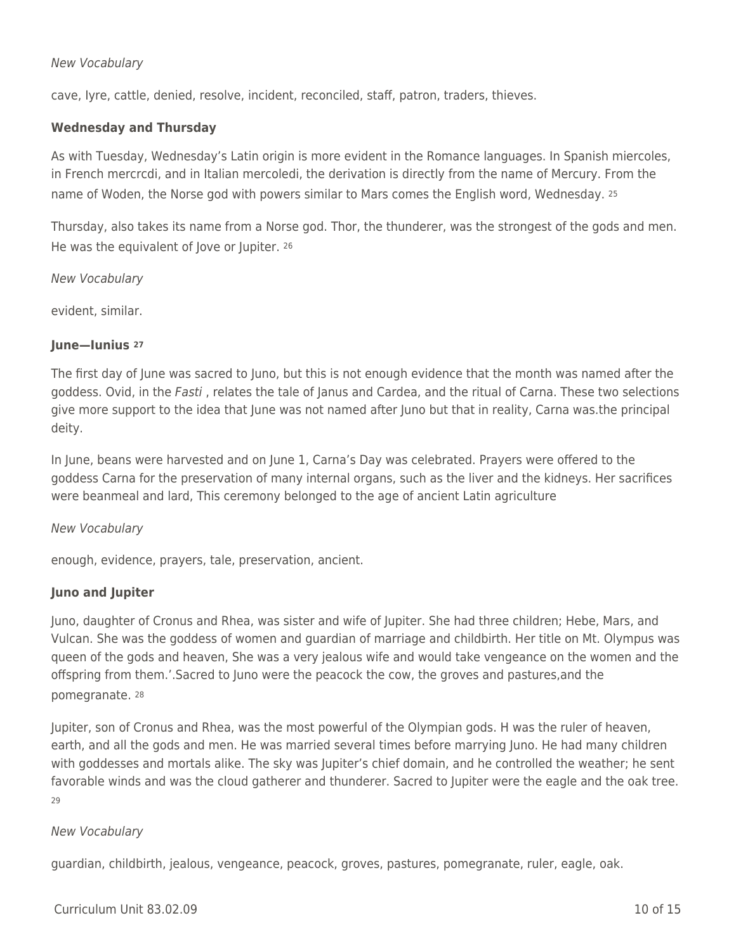#### New Vocabulary

cave, Iyre, cattle, denied, resolve, incident, reconciled, staff, patron, traders, thieves.

#### **Wednesday and Thursday**

As with Tuesday, Wednesday's Latin origin is more evident in the Romance languages. In Spanish miercoles, in French mercrcdi, and in Italian mercoledi, the derivation is directly from the name of Mercury. From the name of Woden, the Norse god with powers similar to Mars comes the English word, Wednesday. <sup>25</sup>

Thursday, also takes its name from a Norse god. Thor, the thunderer, was the strongest of the gods and men. He was the equivalent of Jove or Jupiter. <sup>26</sup>

New Vocabulary

evident, similar.

#### **June—Iunius <sup>27</sup>**

The first day of June was sacred to Juno, but this is not enough evidence that the month was named after the goddess. Ovid, in the Fasti, relates the tale of Janus and Cardea, and the ritual of Carna. These two selections give more support to the idea that June was not named after Juno but that in reality, Carna was.the principal deity.

In June, beans were harvested and on June 1, Carna's Day was celebrated. Prayers were offered to the goddess Carna for the preservation of many internal organs, such as the liver and the kidneys. Her sacrifices were beanmeal and lard, This ceremony belonged to the age of ancient Latin agriculture

#### New Vocabulary

enough, evidence, prayers, tale, preservation, ancient.

#### **Juno and Jupiter**

Juno, daughter of Cronus and Rhea, was sister and wife of Jupiter. She had three children; Hebe, Mars, and Vulcan. She was the goddess of women and guardian of marriage and childbirth. Her title on Mt. Olympus was queen of the gods and heaven, She was a very jealous wife and would take vengeance on the women and the offspring from them.'.Sacred to Juno were the peacock the cow, the groves and pastures,and the pomegranate. <sup>28</sup>

Jupiter, son of Cronus and Rhea, was the most powerful of the Olympian gods. H was the ruler of heaven, earth, and all the gods and men. He was married several times before marrying Juno. He had many children with goddesses and mortals alike. The sky was Jupiter's chief domain, and he controlled the weather; he sent favorable winds and was the cloud gatherer and thunderer. Sacred to Jupiter were the eagle and the oak tree.  $29$ 

#### New Vocabulary

guardian, childbirth, jealous, vengeance, peacock, groves, pastures, pomegranate, ruler, eagle, oak.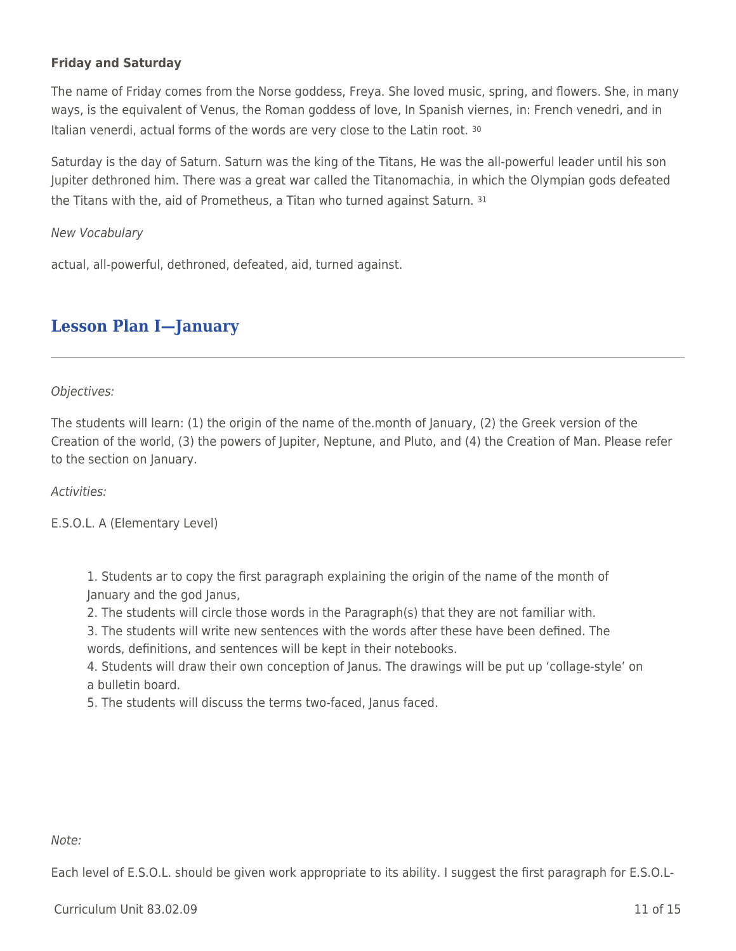### **Friday and Saturday**

The name of Friday comes from the Norse goddess, Freya. She loved music, spring, and flowers. She, in many ways, is the equivalent of Venus, the Roman goddess of love, In Spanish viernes, in: French venedri, and in Italian venerdi, actual forms of the words are very close to the Latin root. <sup>30</sup>

Saturday is the day of Saturn. Saturn was the king of the Titans, He was the all-powerful leader until his son Jupiter dethroned him. There was a great war called the Titanomachia, in which the Olympian gods defeated the Titans with the, aid of Prometheus, a Titan who turned against Saturn. <sup>31</sup>

New Vocabulary

actual, all-powerful, dethroned, defeated, aid, turned against.

### **Lesson Plan I—January**

Objectives:

The students will learn: (1) the origin of the name of the.month of January, (2) the Greek version of the Creation of the world, (3) the powers of Jupiter, Neptune, and Pluto, and (4) the Creation of Man. Please refer to the section on January.

#### Activities:

E.S.O.L. A (Elementary Level)

1. Students ar to copy the first paragraph explaining the origin of the name of the month of January and the god Janus,

2. The students will circle those words in the Paragraph(s) that they are not familiar with.

3. The students will write new sentences with the words after these have been defined. The words, definitions, and sentences will be kept in their notebooks.

4. Students will draw their own conception of Janus. The drawings will be put up 'collage-style' on a bulletin board.

5. The students will discuss the terms two-faced, Janus faced.

#### Note:

Each level of E.S.O.L. should be given work appropriate to its ability. I suggest the first paragraph for E.S.O.L-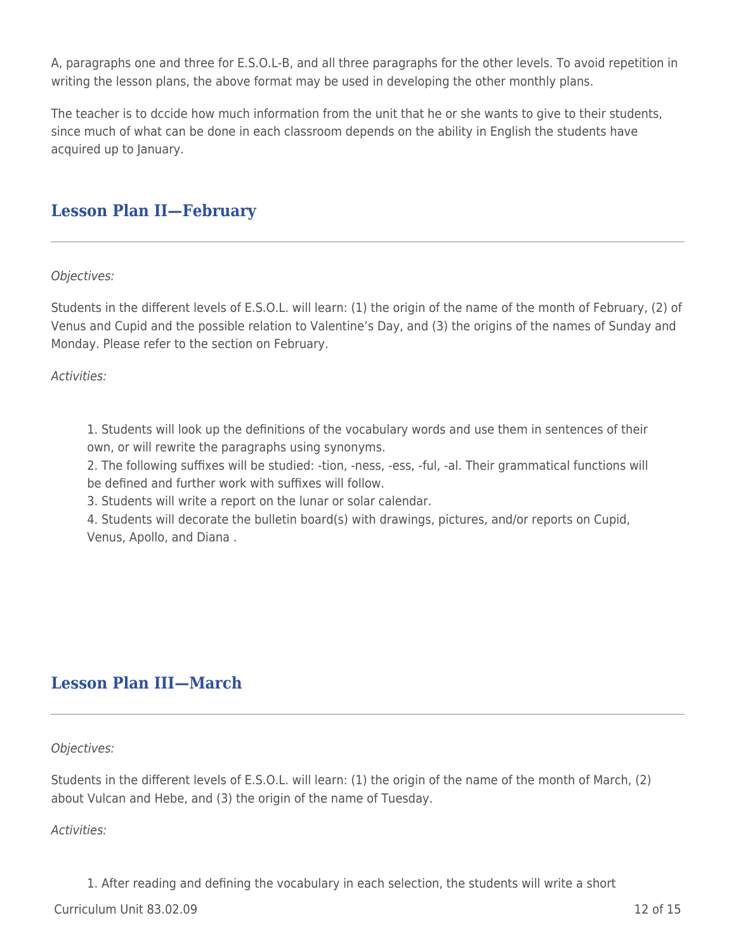A, paragraphs one and three for E.S.O.L-B, and all three paragraphs for the other levels. To avoid repetition in writing the lesson plans, the above format may be used in developing the other monthly plans.

The teacher is to dccide how much information from the unit that he or she wants to give to their students, since much of what can be done in each classroom depends on the ability in English the students have acquired up to January.

### **Lesson Plan II—February**

Objectives:

Students in the different levels of E.S.O.L. will learn: (1) the origin of the name of the month of February, (2) of Venus and Cupid and the possible relation to Valentine's Day, and (3) the origins of the names of Sunday and Monday. Please refer to the section on February.

Activities:

1. Students will look up the definitions of the vocabulary words and use them in sentences of their own, or will rewrite the paragraphs using synonyms.

2. The following suffixes will be studied: -tion, -ness, -ess, -ful, -al. Their grammatical functions will be defined and further work with suffixes will follow.

3. Students will write a report on the lunar or solar calendar.

4. Students will decorate the bulletin board(s) with drawings, pictures, and/or reports on Cupid, Venus, Apollo, and Diana .

### **Lesson Plan III—March**

Objectives:

Students in the different levels of E.S.O.L. will learn: (1) the origin of the name of the month of March, (2) about Vulcan and Hebe, and (3) the origin of the name of Tuesday.

Activities:

1. After reading and defining the vocabulary in each selection, the students will write a short

Curriculum Unit 83.02.09 12 of 15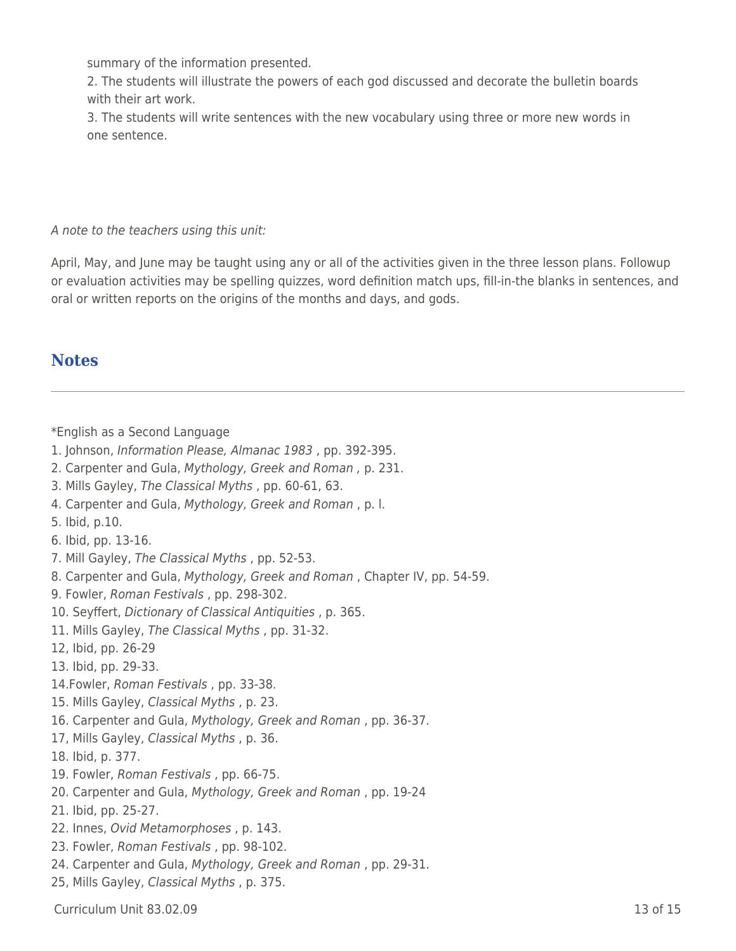summary of the information presented.

2. The students will illustrate the powers of each god discussed and decorate the bulletin boards with their art work.

3. The students will write sentences with the new vocabulary using three or more new words in one sentence.

A note to the teachers using this unit:

April, May, and June may be taught using any or all of the activities given in the three lesson plans. Followup or evaluation activities may be spelling quizzes, word definition match ups, fill-in-the blanks in sentences, and oral or written reports on the origins of the months and days, and gods.

### **Notes**

\*English as a Second Language

1. Johnson, Information Please, Almanac 1983 , pp. 392-395.

- 2. Carpenter and Gula, Mythology, Greek and Roman , p. 231.
- 3. Mills Gayley, The Classical Myths , pp. 60-61, 63.
- 4. Carpenter and Gula, Mythology, Greek and Roman , p. l.
- 5. Ibid, p.10.
- 6. Ibid, pp. 13-16.
- 7. Mill Gayley, The Classical Myths , pp. 52-53.
- 8. Carpenter and Gula, Mythology, Greek and Roman , Chapter IV, pp. 54-59.
- 9. Fowler, Roman Festivals , pp. 298-302.
- 10. Seyffert, Dictionary of Classical Antiquities , p. 365.
- 11. Mills Gayley, The Classical Myths , pp. 31-32.
- 12, Ibid, pp. 26-29
- 13. Ibid, pp. 29-33.
- 14.Fowler, Roman Festivals , pp. 33-38.
- 15. Mills Gayley, Classical Myths , p. 23.
- 16. Carpenter and Gula, Mythology, Greek and Roman , pp. 36-37.
- 17, Mills Gayley, Classical Myths , p. 36.
- 18. Ibid, p. 377.
- 19. Fowler, Roman Festivals , pp. 66-75.
- 20. Carpenter and Gula, Mythology, Greek and Roman , pp. 19-24
- 21. Ibid, pp. 25-27.
- 22. Innes, Ovid Metamorphoses , p. 143.
- 23. Fowler, Roman Festivals , pp. 98-102.
- 24. Carpenter and Gula, Mythology, Greek and Roman , pp. 29-31.
- 25, Mills Gayley, Classical Myths , p. 375.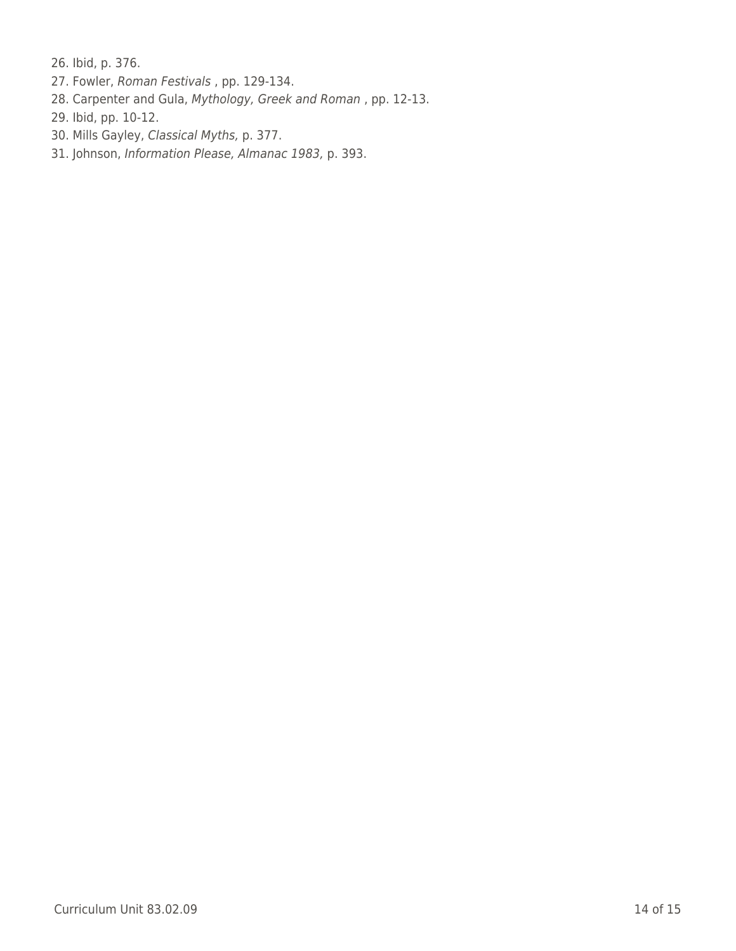26. Ibid, p. 376.

- 27. Fowler, Roman Festivals , pp. 129-134.
- 28. Carpenter and Gula, Mythology, Greek and Roman , pp. 12-13.
- 29. Ibid, pp. 10-12.
- 30. Mills Gayley, Classical Myths, p. 377.
- 31. Johnson, Information Please, Almanac 1983, p. 393.